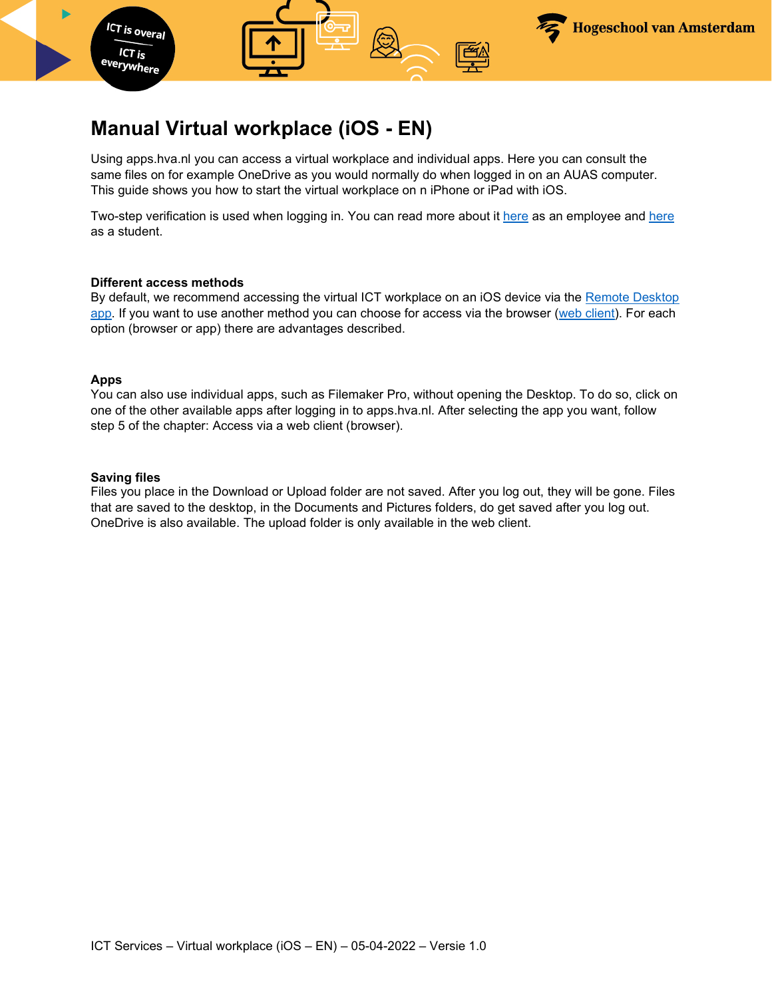

## **Manual Virtual workplace (iOS - EN)**

Using apps.hva.nl you can access a virtual workplace and individual apps. Here you can consult the same files on for example OneDrive as you would normally do when logged in on an AUAS computer. This guide shows you how to start the virtual workplace on n iPhone or iPad with iOS.

Two-step verification is used when logging in. You can read more about it [here](https://az.hva.nl/en/employees/az-lemmas/employees/auas/its-si/two-step-verification/two-step-verification.html) as an employee and [here](https://student.amsterdamuas.com/az-lemmas/students/auas/its-si/two-step-verification/two-step-verification.html) as a student.

#### **Different access methods**

By default, we recommend accessing the virtual ICT workplace on an iOS device via the [Remote Desktop](#page-2-0)  [app.](#page-2-0) If you want to use another method you can choose for access via the browser [\(web client\)](#page-4-0). For each option (browser or app) there are advantages described.

#### **Apps**

You can also use individual apps, such as Filemaker Pro, without opening the Desktop. To do so, click on one of the other available apps after logging in to apps.hva.nl. After selecting the app you want, follow step 5 of the chapter: Access via a web client (browser).

#### **Saving files**

Files you place in the Download or Upload folder are not saved. After you log out, they will be gone. Files that are saved to the desktop, in the Documents and Pictures folders, do get saved after you log out. OneDrive is also available. The upload folder is only available in the web client.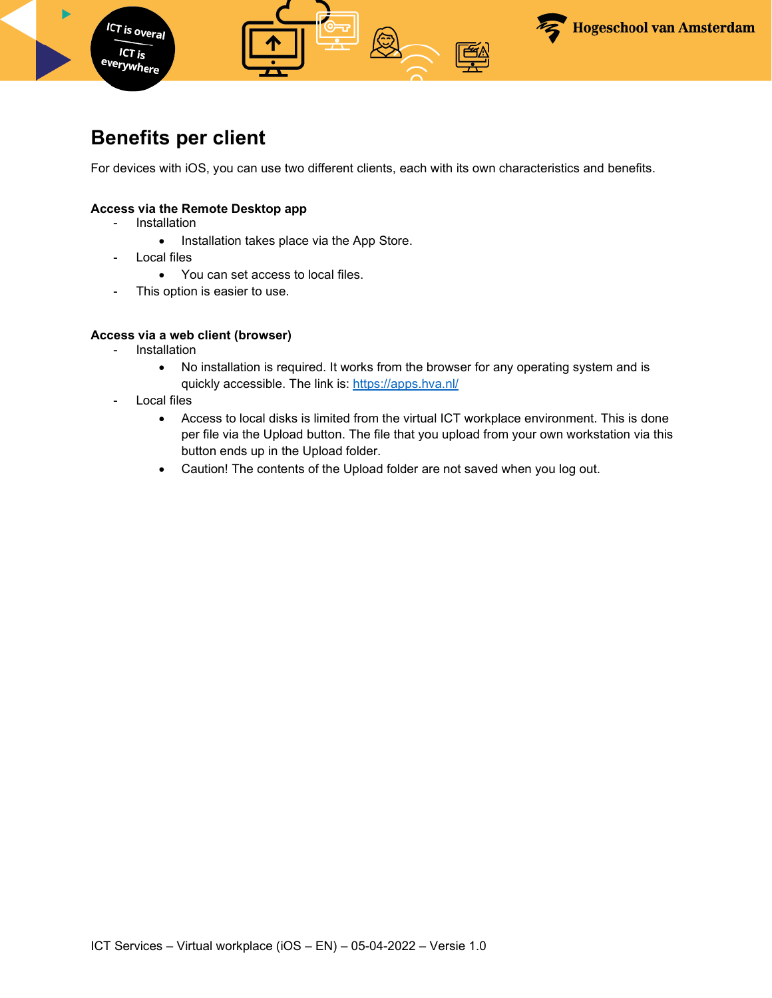

## **Benefits per client**

For devices with iOS, you can use two different clients, each with its own characteristics and benefits.

#### **Access via the Remote Desktop app**

- Installation
	- Installation takes place via the App Store.
- Local files
	- You can set access to local files.
- This option is easier to use.

#### **Access via a web client (browser)**

- Installation
	- No installation is required. It works from the browser for any operating system and is quickly accessible. The link is: https://apps.hva.nl/
- Local files
	- Access to local disks is limited from the virtual ICT workplace environment. This is done per file via the Upload button. The file that you upload from your own workstation via this button ends up in the Upload folder.
	- Caution! The contents of the Upload folder are not saved when you log out.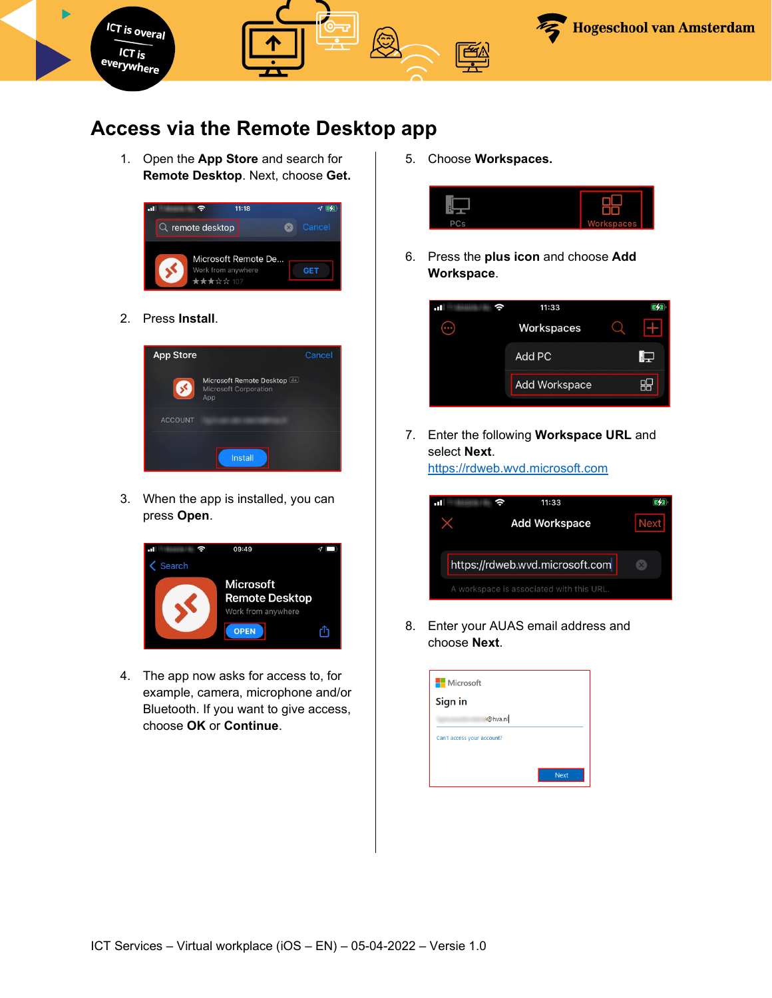

### <span id="page-2-0"></span>**Access via the Remote Desktop app**

1. Open the **App Store** and search for **Remote Desktop**. Next, choose **Get.**

| 11:18<br>пT                     |        |
|---------------------------------|--------|
| $Q$ remote desktop<br>X)        | Cancel |
| Microsoft Remote De             |        |
| Work from anywhere<br>★★★☆☆ 107 |        |

2. Press **Install**.



3. When the app is installed, you can press **Open**.



4. The app now asks for access to, for example, camera, microphone and/or Bluetooth. If you want to give access, choose **OK** or **Continue**.

5. Choose **Workspaces.**



6. Press the **plus icon** and choose **Add Workspace**.



7. Enter the following **Workspace URL** and select **Next**. [https://rdweb.wvd.microsoft.com](https://rdweb.wvd.microsoft.com/)



8. Enter your AUAS email address and choose **Next**.

| Microsoft                  |
|----------------------------|
| Sign in                    |
| @hva.nl                    |
| Can't access your account? |
|                            |
| <b>Next</b>                |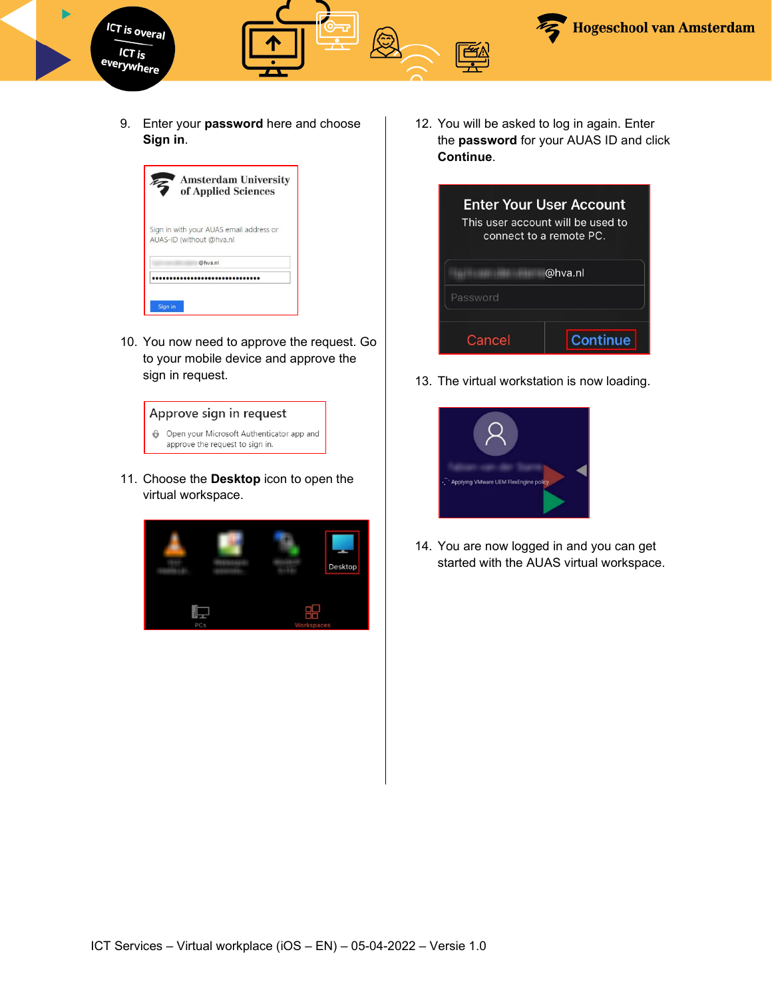

9. Enter your **password** here and choose **Sign in**.



10. You now need to approve the request. Go to your mobile device and approve the sign in request.



11. Choose the **Desktop** icon to open the virtual workspace.



12. You will be asked to log in again. Enter the **password** for your AUAS ID and click **Continue**.



13. The virtual workstation is now loading.



14. You are now logged in and you can get started with the AUAS virtual workspace.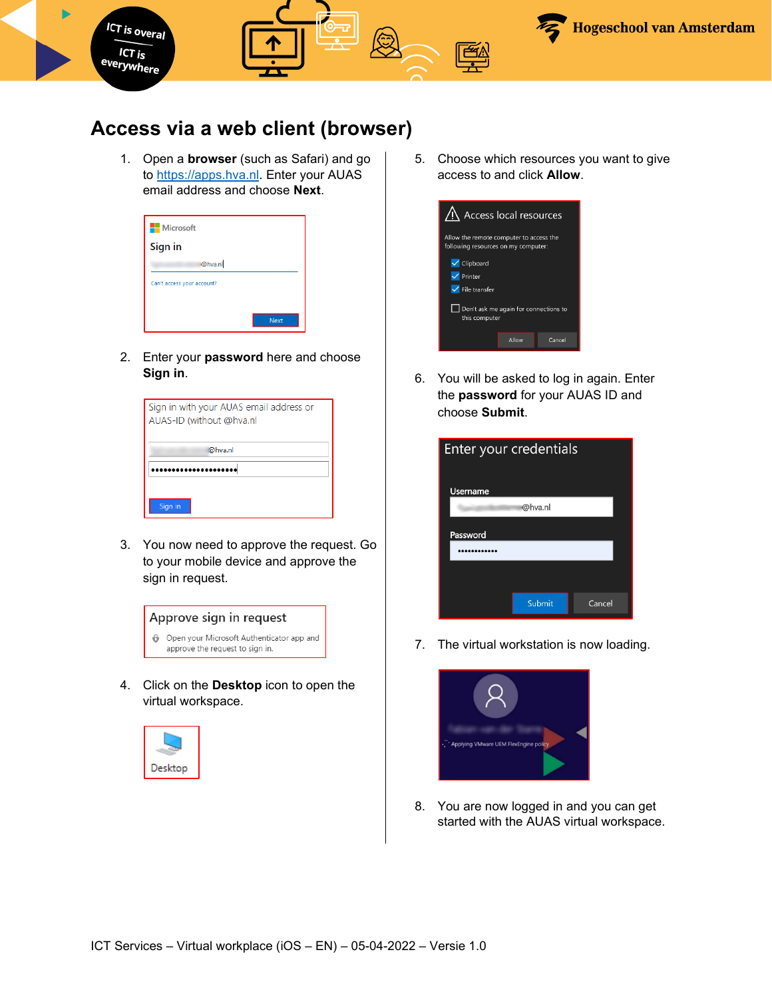

### <span id="page-4-0"></span>**Access via a web client (browser)**

1. Open a **browser** (such as Safari) and go to [https://apps.hva.nl.](https://apps.hva.nl/) Enter your AUAS email address and choose **Next**.

| <b>Nicrosoft</b>           |             |
|----------------------------|-------------|
| Sign in                    |             |
| @hva.nl                    |             |
| Can't access your account? |             |
|                            |             |
|                            | <b>Next</b> |

2. Enter your **password** here and choose **Sign in**.

| Sign in with your AUAS email address or<br>AUAS-ID (without @hva.nl |  |
|---------------------------------------------------------------------|--|
| @hva.nl                                                             |  |
|                                                                     |  |
| Sign in                                                             |  |

3. You now need to approve the request. Go to your mobile device and approve the sign in request.



4. Click on the **Desktop** icon to open the virtual workspace.



5. Choose which resources you want to give access to and click **Allow**.



6. You will be asked to log in again. Enter the **password** for your AUAS ID and choose **Submit**.



7. The virtual workstation is now loading.



8. You are now logged in and you can get started with the AUAS virtual workspace.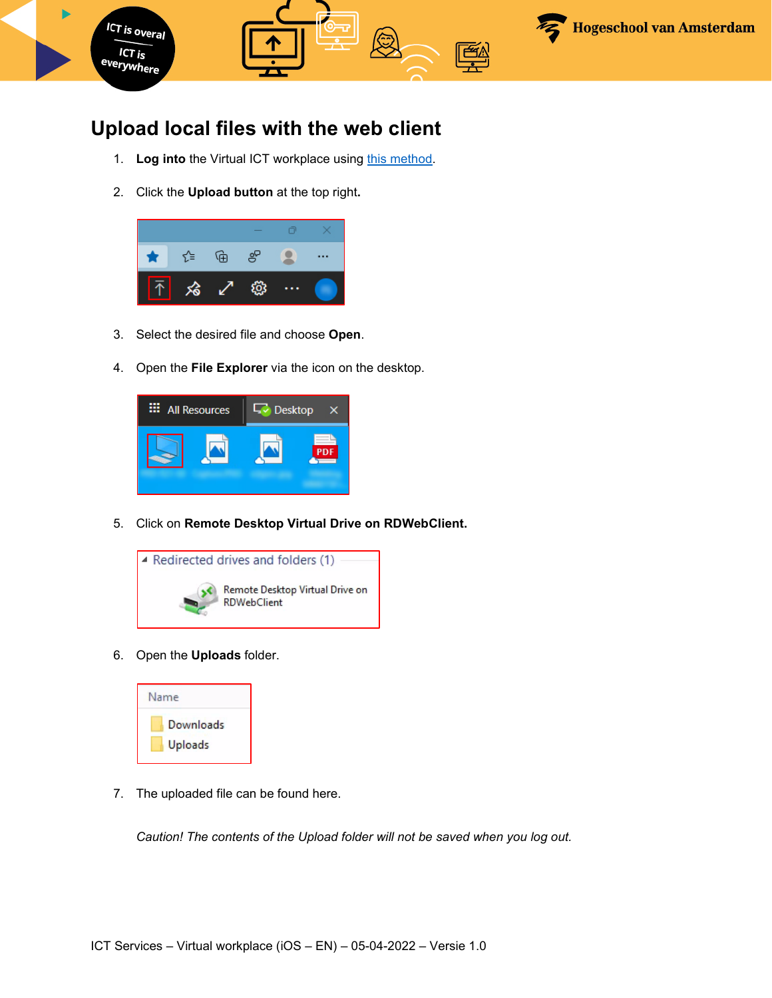

## **Upload local files with the web client**

- 1. Log into the Virtual ICT workplace using this method.
- 2. Click the **Upload button** at the top right**.**



- 3. Select the desired file and choose **Open**.
- 4. Open the **File Explorer** via the icon on the desktop.



5. Click on **Remote Desktop Virtual Drive on RDWebClient.** 



6. Open the **Uploads** folder.



7. The uploaded file can be found here.

*Caution! The contents of the Upload folder will not be saved when you log out.*